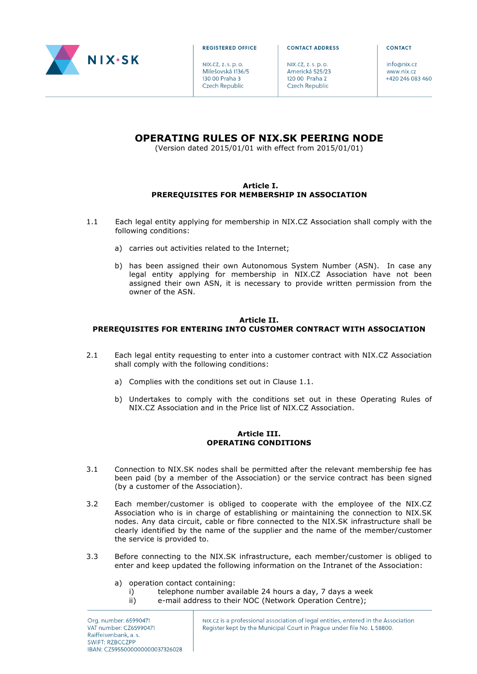

**REGISTERED OFFICE** 

NIX.CZ, Z, S, D, O, Milešovská 1136/5 130 00 Praha 3 Czech Republic

**CONTACT ADDRESS** 

NIX.CZ, Z, S, D, O, Americká 525/23 120 00 Praha 2 Czech Republic

 $inf_{\alpha \in \mathbb{R}}$ www.nix.cz +420 246 083 460

CONTACT

# **OPERATING RULES OF NIX.SK PEERING NODE**

(Version dated 2015/01/01 with effect from 2015/01/01)

## **Article I. PREREQUISITES FOR MEMBERSHIP IN ASSOCIATION**

- 1.1 Each legal entity applying for membership in NIX.CZ Association shall comply with the following conditions:
	- a) carries out activities related to the Internet;
	- b) has been assigned their own Autonomous System Number (ASN). In case any legal entity applying for membership in NIX.CZ Association have not been assigned their own ASN, it is necessary to provide written permission from the owner of the ASN.

## **Article II.**

# **PREREQUISITES FOR ENTERING INTO CUSTOMER CONTRACT WITH ASSOCIATION**

- 2.1 Each legal entity requesting to enter into a customer contract with NIX.CZ Association shall comply with the following conditions:
	- a) Complies with the conditions set out in Clause 1.1.
	- b) Undertakes to comply with the conditions set out in these Operating Rules of NIX.CZ Association and in the Price list of NIX.CZ Association.

### **Article III. OPERATING CONDITIONS**

- 3.1 Connection to NIX.SK nodes shall be permitted after the relevant membership fee has been paid (by a member of the Association) or the service contract has been signed (by a customer of the Association).
- 3.2 Each member/customer is obliged to cooperate with the employee of the NIX.CZ Association who is in charge of establishing or maintaining the connection to NIX.SK nodes. Any data circuit, cable or fibre connected to the NIX.SK infrastructure shall be clearly identified by the name of the supplier and the name of the member/customer the service is provided to.
- 3.3 Before connecting to the NIX.SK infrastructure, each member/customer is obliged to enter and keep updated the following information on the Intranet of the Association:
	- a) operation contact containing:
		- i) telephone number available 24 hours a day, 7 days a week
		- ii) e-mail address to their NOC (Network Operation Centre);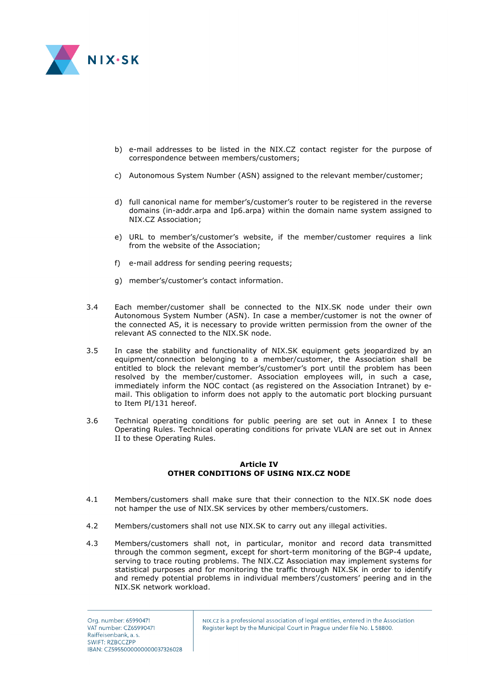

- b) e-mail addresses to be listed in the NIX.CZ contact register for the purpose of correspondence between members/customers;
- c) Autonomous System Number (ASN) assigned to the relevant member/customer;
- d) full canonical name for member's/customer's router to be registered in the reverse domains (in-addr.arpa and Ip6.arpa) within the domain name system assigned to NIX.CZ Association;
- e) URL to member's/customer's website, if the member/customer requires a link from the website of the Association;
- f) e-mail address for sending peering requests;
- g) member's/customer's contact information.
- 3.4 Each member/customer shall be connected to the NIX.SK node under their own Autonomous System Number (ASN). In case a member/customer is not the owner of the connected AS, it is necessary to provide written permission from the owner of the relevant AS connected to the NIX.SK node.
- 3.5 In case the stability and functionality of NIX.SK equipment gets jeopardized by an equipment/connection belonging to a member/customer, the Association shall be entitled to block the relevant member's/customer's port until the problem has been resolved by the member/customer. Association employees will, in such a case, immediately inform the NOC contact (as registered on the Association Intranet) by email. This obligation to inform does not apply to the automatic port blocking pursuant to Item PI/131 hereof.
- 3.6 Technical operating conditions for public peering are set out in Annex I to these Operating Rules. Technical operating conditions for private VLAN are set out in Annex II to these Operating Rules.

### **Article IV OTHER CONDITIONS OF USING NIX.CZ NODE**

- 4.1 Members/customers shall make sure that their connection to the NIX.SK node does not hamper the use of NIX.SK services by other members/customers.
- 4.2 Members/customers shall not use NIX.SK to carry out any illegal activities.
- 4.3 Members/customers shall not, in particular, monitor and record data transmitted through the common segment, except for short-term monitoring of the BGP-4 update, serving to trace routing problems. The NIX.CZ Association may implement systems for statistical purposes and for monitoring the traffic through NIX.SK in order to identify and remedy potential problems in individual members'/customers' peering and in the NIX.SK network workload.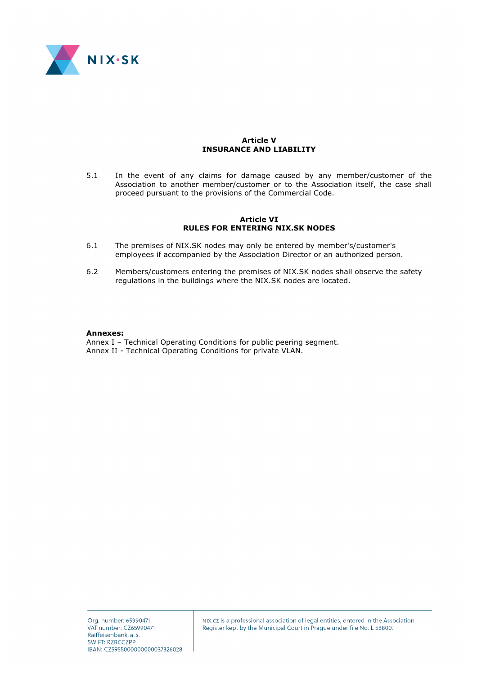

### **Article V INSURANCE AND LIABILITY**

5.1 In the event of any claims for damage caused by any member/customer of the Association to another member/customer or to the Association itself, the case shall proceed pursuant to the provisions of the Commercial Code.

#### **Article VI RULES FOR ENTERING NIX.SK NODES**

- 6.1 The premises of NIX.SK nodes may only be entered by member's/customer's employees if accompanied by the Association Director or an authorized person.
- 6.2 Members/customers entering the premises of NIX.SK nodes shall observe the safety regulations in the buildings where the NIX.SK nodes are located.

#### **Annexes:**

Annex I – Technical Operating Conditions for public peering segment. Annex II - Technical Operating Conditions for private VLAN.

NIX.CZ is a professional association of legal entities, entered in the Association Register kept by the Municipal Court in Prague under file No. L 58800.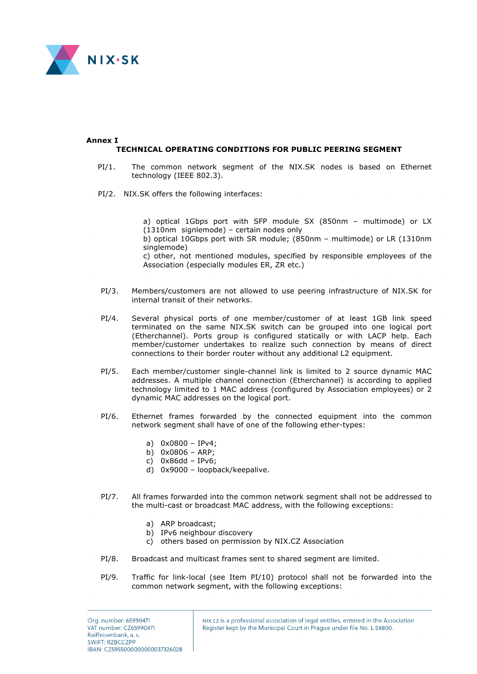

#### **Annex I TECHNICAL OPERATING CONDITIONS FOR PUBLIC PEERING SEGMENT**

- PI/1. The common network segment of the NIX.SK nodes is based on Ethernet technology (IEEE 802.3).
- PI/2. NIX.SK offers the following interfaces:

a) optical 1Gbps port with SFP module SX (850nm – multimode) or LX (1310nm signlemode) – certain nodes only b) optical 10Gbps port with SR module; (850nm – multimode) or LR (1310nm singlemode) c) other, not mentioned modules, specified by responsible employees of the Association (especially modules ER, ZR etc.)

- PI/3. Members/customers are not allowed to use peering infrastructure of NIX.SK for internal transit of their networks.
- PI/4. Several physical ports of one member/customer of at least 1GB link speed terminated on the same NIX.SK switch can be grouped into one logical port (Etherchannel). Ports group is configured statically or with LACP help. Each member/customer undertakes to realize such connection by means of direct connections to their border router without any additional L2 equipment.
- PI/5. Each member/customer single-channel link is limited to 2 source dynamic MAC addresses. A multiple channel connection (Etherchannel) is according to applied technology limited to 1 MAC address (configured by Association employees) or 2 dynamic MAC addresses on the logical port.
- PI/6. Ethernet frames forwarded by the connected equipment into the common network segment shall have of one of the following ether-types:
	- a) 0x0800 IPv4;
	- b) 0x0806 ARP;
	- c) 0x86dd IPv6;
	- d) 0x9000 loopback/keepalive.
- PI/7. All frames forwarded into the common network segment shall not be addressed to the multi-cast or broadcast MAC address, with the following exceptions:
	- a) ARP broadcast;
	- b) IPv6 neighbour discovery
	- c) others based on permission by NIX.CZ Association
- PI/8. Broadcast and multicast frames sent to shared segment are limited.
- PI/9. Traffic for link-local (see Item PI/10) protocol shall not be forwarded into the common network segment, with the following exceptions: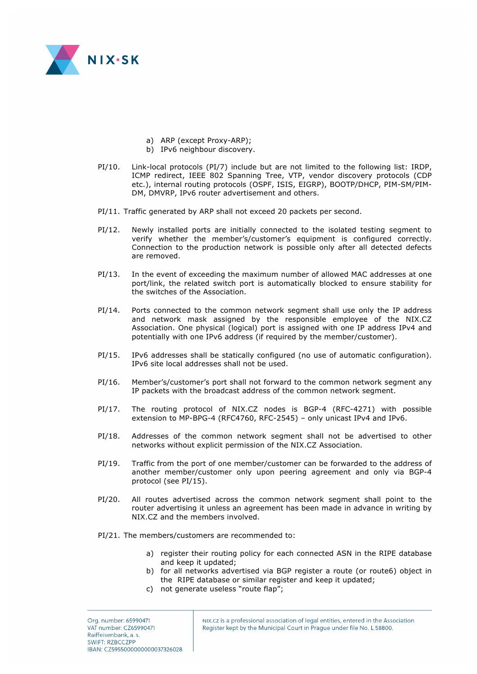

- a) ARP (except Proxy-ARP);
- b) IPv6 neighbour discovery.
- PI/10. Link-local protocols (PI/7) include but are not limited to the following list: IRDP, ICMP redirect, IEEE 802 Spanning Tree, VTP, vendor discovery protocols (CDP etc.), internal routing protocols (OSPF, ISIS, EIGRP), BOOTP/DHCP, PIM-SM/PIM-DM, DMVRP, IPv6 router advertisement and others.
- PI/11. Traffic generated by ARP shall not exceed 20 packets per second.
- PI/12. Newly installed ports are initially connected to the isolated testing segment to verify whether the member's/customer's equipment is configured correctly. Connection to the production network is possible only after all detected defects are removed.
- PI/13. In the event of exceeding the maximum number of allowed MAC addresses at one port/link, the related switch port is automatically blocked to ensure stability for the switches of the Association.
- PI/14. Ports connected to the common network segment shall use only the IP address and network mask assigned by the responsible employee of the NIX.CZ Association. One physical (logical) port is assigned with one IP address IPv4 and potentially with one IPv6 address (if required by the member/customer).
- PI/15. IPv6 addresses shall be statically configured (no use of automatic configuration). IPv6 site local addresses shall not be used.
- PI/16. Member's/customer's port shall not forward to the common network segment any IP packets with the broadcast address of the common network segment.
- PI/17. The routing protocol of NIX.CZ nodes is BGP-4 (RFC-4271) with possible extension to MP-BPG-4 (RFC4760, RFC-2545) – only unicast IPv4 and IPv6.
- PI/18. Addresses of the common network segment shall not be advertised to other networks without explicit permission of the NIX.CZ Association.
- PI/19. Traffic from the port of one member/customer can be forwarded to the address of another member/customer only upon peering agreement and only via BGP-4 protocol (see PI/15).
- PI/20. All routes advertised across the common network segment shall point to the router advertising it unless an agreement has been made in advance in writing by NIX.CZ and the members involved.
- PI/21. The members/customers are recommended to:
	- a) register their routing policy for each connected ASN in the RIPE database and keep it updated;
	- b) for all networks advertised via BGP register a route (or route6) object in the RIPE database or similar register and keep it updated;
	- c) not generate useless "route flap";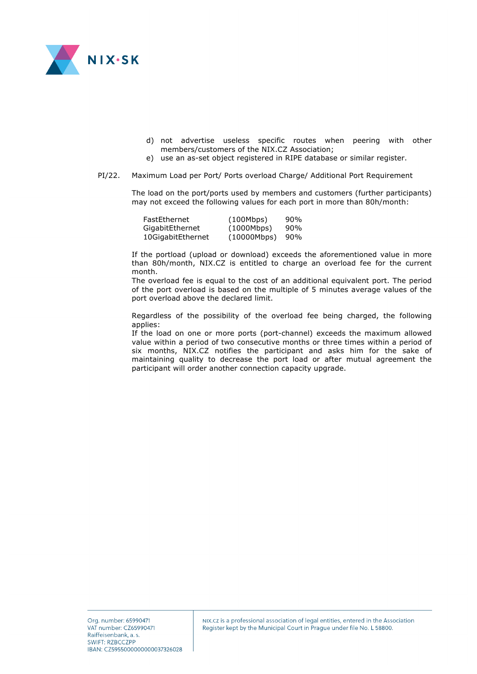

- d) not advertise useless specific routes when peering with other members/customers of the NIX.CZ Association;
- e) use an as-set object registered in RIPE database or similar register.
- PI/22. Maximum Load per Port/ Ports overload Charge/ Additional Port Requirement

The load on the port/ports used by members and customers (further participants) may not exceed the following values for each port in more than 80h/month:

| FastEthernet      | (100Mbps)   | 90% |
|-------------------|-------------|-----|
| GigabitEthernet   | (1000Mbps)  | 90% |
| 10GigabitEthernet | (10000Mbps) | 90% |

If the portload (upload or download) exceeds the aforementioned value in more than 80h/month, NIX.CZ is entitled to charge an overload fee for the current month.

The overload fee is equal to the cost of an additional equivalent port. The period of the port overload is based on the multiple of 5 minutes average values of the port overload above the declared limit.

Regardless of the possibility of the overload fee being charged, the following applies:

If the load on one or more ports (port-channel) exceeds the maximum allowed value within a period of two consecutive months or three times within a period of six months, NIX.CZ notifies the participant and asks him for the sake of maintaining quality to decrease the port load or after mutual agreement the participant will order another connection capacity upgrade.

NIX.CZ is a professional association of legal entities, entered in the Association Register kept by the Municipal Court in Prague under file No. L 58800.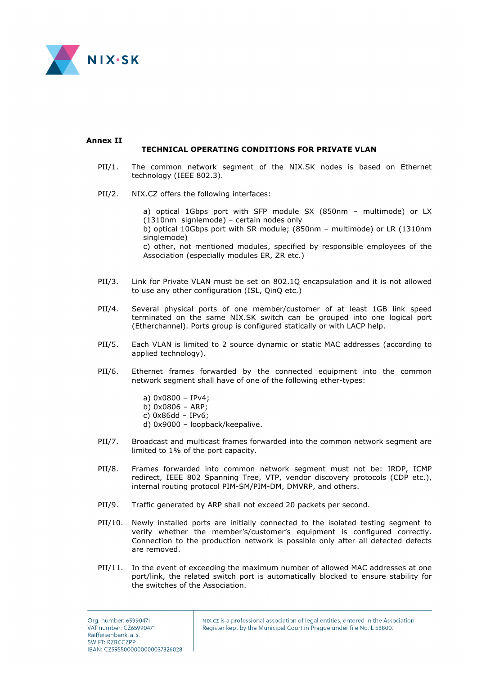

#### **Annex II TECHNICAL OPERATING CONDITIONS FOR PRIVATE VLAN**

- PII/1. The common network segment of the NIX.SK nodes is based on Ethernet technology (IEEE 802.3).
- PII/2. NIX.CZ offers the following interfaces:

a) optical 1Gbps port with SFP module SX (850nm – multimode) or LX (1310nm signlemode) – certain nodes only b) optical 10Gbps port with SR module; (850nm – multimode) or LR (1310nm singlemode) c) other, not mentioned modules, specified by responsible employees of the Association (especially modules ER, ZR etc.)

- PII/3. Link for Private VLAN must be set on 802.1Q encapsulation and it is not allowed to use any other configuration (ISL, QinQ etc.)
- PII/4. Several physical ports of one member/customer of at least 1GB link speed terminated on the same NIX.SK switch can be grouped into one logical port (Etherchannel). Ports group is configured statically or with LACP help.
- PII/5. Each VLAN is limited to 2 source dynamic or static MAC addresses (according to applied technology).
- PII/6. Ethernet frames forwarded by the connected equipment into the common network segment shall have of one of the following ether-types:
	- a) 0x0800 IPv4;
	- b) 0x0806 ARP;
	- c) 0x86dd IPv6;
	- d) 0x9000 loopback/keepalive.
- PII/7. Broadcast and multicast frames forwarded into the common network segment are limited to 1% of the port capacity.
- PII/8. Frames forwarded into common network segment must not be: IRDP, ICMP redirect, IEEE 802 Spanning Tree, VTP, vendor discovery protocols (CDP etc.), internal routing protocol PIM-SM/PIM-DM, DMVRP, and others.
- PII/9. Traffic generated by ARP shall not exceed 20 packets per second.
- PII/10. Newly installed ports are initially connected to the isolated testing segment to verify whether the member's/customer's equipment is configured correctly. Connection to the production network is possible only after all detected defects are removed.
- PII/11. In the event of exceeding the maximum number of allowed MAC addresses at one port/link, the related switch port is automatically blocked to ensure stability for the switches of the Association.